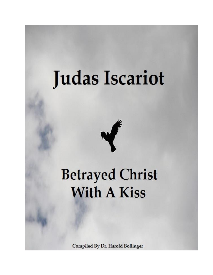# Judas Iscariot



# **Betrayed Christ With A Kiss**

Compiled By Dr. Harold Bollinger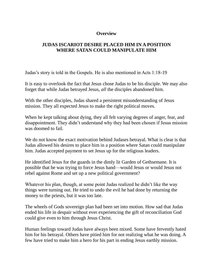#### **Overview**

# **JUDAS ISCARIOT DESIRE PLACED HIM IN A POSITION WHERE SATAN COULD MANIPULATE HIM**

Judas's story is told in the Gospels. He is also mentioned in Acts 1:18-19

It is easy to overlook the fact that Jesus chose Judas to be his disciple. We may also forget that while Judas betrayed Jesus, *all* the disciples abandoned him.

With the other disciples, Judas shared a persistent misunderstanding of Jesus mission. They all expected Jesus to make the right political moves.

When he kept talking about dying, they all felt varying degrees of anger, fear, and disappointment. They didn't understand why they had been chosen if Jesus mission was doomed to fail.

We do not know the exact motivation behind Judases betraval. What is clear is that Judas allowed his desires to place him in a position where Satan could manipulate him. Judas accepted payment to set Jesus up for the religious leaders.

He identified Jesus for the guards in the dimly lit Garden of Gethsemane. It is possible that he was trying to force Jesus hand—would Jesus or would Jesus not rebel against Rome and set up a new political government?

Whatever his plan, though, at some point Judas realized he didn't like the way things were turning out. He tried to undo the evil he had done by returning the money to the priests, but it was too late.

The wheels of Gods sovereign plan had been set into motion. How sad that Judas ended his life in despair without ever experiencing the gift of reconciliation God could give even to him through Jesus Christ.

Human feelings toward Judas have always been mixed. Some have fervently hated him for his betrayal. Others have pitied him for not realizing what he was doing. A few have tried to make him a hero for his part in ending Jesus earthly mission.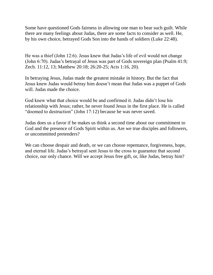Some have questioned Gods fairness in allowing one man to bear such guilt. While there are many feelings about Judas, there are some facts to consider as well. He, by his own choice, betrayed Gods Son into the hands of soldiers (Luke 22:48).

He was a thief (John 12:6). Jesus knew that Judas's life of evil would not change (John 6:70). Judas's betrayal of Jesus was part of Gods sovereign plan (Psalm 41:9; Zech. 11:12, 13; Matthew 20:18; 26:20-25; Acts 1:16, 20).

In betraying Jesus, Judas made the greatest mistake in history. But the fact that Jesus knew Judas would betray him doesn't mean that Judas was a puppet of Gods will. Judas made the choice.

God knew what that choice would be and confirmed it. Judas didn't lose his relationship with Jesus; rather, he never found Jesus in the first place. He is called "doomed to destruction" (John 17:12) because he was never saved.

Judas does us a favor if he makes us think a second time about our commitment to God and the presence of Gods Spirit within us. Are we true disciples and followers, or uncommitted pretenders?

We can choose despair and death, or we can choose repentance, forgiveness, hope, and eternal life. Judas's betrayal sent Jesus to the cross to guarantee that second choice, our only chance. Will we accept Jesus free gift, or, like Judas, betray him?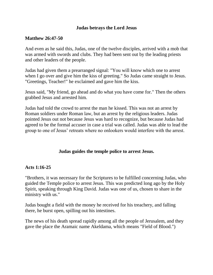# **Judas betrays the Lord Jesus**

#### **Matthew 26:47-50**

And even as he said this, Judas, one of the twelve disciples, arrived with a mob that was armed with swords and clubs. They had been sent out by the leading priests and other leaders of the people.

Judas had given them a prearranged signal: "You will know which one to arrest when I go over and give him the kiss of greeting." So Judas came straight to Jesus. "Greetings, Teacher!" he exclaimed and gave him the kiss.

Jesus said, "My friend, go ahead and do what you have come for." Then the others grabbed Jesus and arrested him.

Judas had told the crowd to arrest the man he kissed. This was not an arrest by Roman soldiers under Roman law, but an arrest by the religious leaders. Judas pointed Jesus out not because Jesus was hard to recognize, but because Judas had agreed to be the formal accuser in case a trial was called. Judas was able to lead the group to one of Jesus' retreats where no onlookers would interfere with the arrest.

# **Judas guides the temple police to arrest Jesus.**

#### **Acts 1:16-25**

"Brothers, it was necessary for the Scriptures to be fulfilled concerning Judas, who guided the Temple police to arrest Jesus. This was predicted long ago by the Holy Spirit, speaking through King David. Judas was one of us, chosen to share in the ministry with us."

Judas bought a field with the money he received for his treachery, and falling there, he burst open, spilling out his intestines.

The news of his death spread rapidly among all the people of Jerusalem, and they gave the place the Aramaic name Akeldama, which means "Field of Blood.")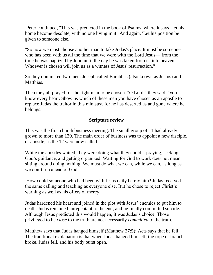Peter continued, "This was predicted in the book of Psalms, where it says, 'let his home become desolate, with no one living in it.' And again, 'Let his position be given to someone else.'

"So now we must choose another man to take Judas's place. It must be someone who has been with us all the time that we were with the Lord Jesus— from the time he was baptized by John until the day he was taken from us into heaven. Whoever is chosen will join us as a witness of Jesus' resurrection."

So they nominated two men: Joseph called Barabbas (also known as Justus) and Matthias.

Then they all prayed for the right man to be chosen. "O Lord," they said, "you know every heart. Show us which of these men you have chosen as an apostle to replace Judas the traitor in this ministry, for he has deserted us and gone where he belongs."

# **Scripture review**

This was the first church business meeting. The small group of 11 had already grown to more than 120. The main order of business was to appoint a new disciple, or apostle, as the 12 were now called.

While the apostles waited, they were doing what they could—praying, seeking God's guidance, and getting organized. Waiting for God to work does not mean sitting around doing nothing. We must do what we can, while we can, as long as we don't run ahead of God.

How could someone who had been with Jesus daily betray him? Judas received the same calling and teaching as everyone else. But he chose to reject Christ's warning as well as his offers of mercy.

Judas hardened his heart and joined in the plot with Jesus' enemies to put him to death. Judas remained unrepentant to the end, and he finally committed suicide. Although Jesus predicted this would happen, it was Judas's choice. Those privileged to be *close* to the truth are not necessarily *committed* to the truth.

Matthew says that Judas hanged himself (Matthew 27:5); Acts says that he fell. The traditional explanation is that when Judas hanged himself, the rope or branch broke, Judas fell, and his body burst open.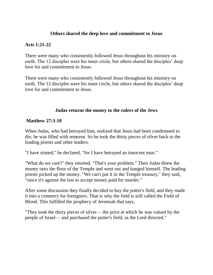# **Others shared the deep love and commitment to Jesus**

# **Acts 1:21-22**

There were many who consistently followed Jesus throughout his ministry on earth. The 12 disciples were his inner circle, but others shared the disciples' deep love for and commitment to Jesus.

There were many who consistently followed Jesus throughout his ministry on earth. The 12 disciples were his inner circle, but others shared the disciples' deep love for and commitment to Jesus.

# **Judas returns the money to the rulers of the Jews**

# **Matthew 27:3-10**

When Judas, who had betrayed him, realized that Jesus had been condemned to die, he was filled with remorse. So he took the thirty pieces of silver back to the leading priests and other leaders.

"I have sinned," he declared, "for I have betrayed an innocent man."

"What do we care?" they retorted. "That's your problem." Then Judas threw the money onto the floor of the Temple and went out and hanged himself. The leading priests picked up the money. "We can't put it in the Temple treasury," they said, "since it's against the law to accept money paid for murder."

After some discussion they finally decided to buy the potter's field, and they made it into a cemetery for foreigners. That is why the field is still called the Field of Blood. This fulfilled the prophecy of Jeremiah that says,

"They took the thirty pieces of silver— the price at which he was valued by the people of Israel— and purchased the potter's field, as the Lord directed."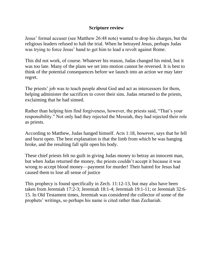#### **Scripture review**

Jesus' formal accuser (see Matthew 26:48 note) wanted to drop his charges, but the religious leaders refused to halt the trial. When he betrayed Jesus, perhaps Judas was trying to force Jesus' hand to get him to lead a revolt against Rome.

This did not work, of course. Whatever his reason, Judas changed his mind, but it was too late. Many of the plans we set into motion cannot be reversed. It is best to think of the potential consequences before we launch into an action we may later regret.

The priests' job was to teach people about God and act as intercessors for them, helping administer the sacrifices to cover their sins. Judas returned to the priests, exclaiming that he had sinned.

Rather than helping him find forgiveness, however, the priests said, "That's your responsibility." Not only had they rejected the Messiah, they had rejected their role as priests.

According to Matthew, Judas hanged himself. Acts 1:18, however, says that he fell and burst open. The best explanation is that the limb from which he was hanging broke, and the resulting fall split open his body.

These chief priests felt no guilt in giving Judas money to betray an innocent man, but when Judas returned the money, the priests couldn't accept it because it was wrong to accept blood money—payment for murder! Their hatred for Jesus had caused them to lose all sense of justice

This prophecy is found specifically in Zech. 11:12-13, but may also have been taken from Jeremiah 17:2-3; Jeremiah 18:1-4; Jeremiah 19:1-11; or Jeremiah 32:6- 15. In Old Testament times, Jeremiah was considered the collector of some of the prophets' writings, so perhaps his name is cited rather than Zechariah.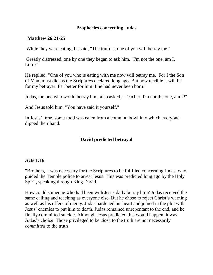### **Prophecies concerning Judas**

#### **Matthew 26:21-25**

While they were eating, he said, "The truth is, one of you will betray me."

Greatly distressed, one by one they began to ask him, "I'm not the one, am I, Lord?"

He replied, "One of you who is eating with me now will betray me. For I the Son of Man, must die, as the Scriptures declared long ago. But how terrible it will be for my betrayer. Far better for him if he had never been born!"

Judas, the one who would betray him, also asked, "Teacher, I'm not the one, am I?"

And Jesus told him, "You have said it yourself."

In Jesus' time, some food was eaten from a common bowl into which everyone dipped their hand.

# **David predicted betrayal**

# **Acts 1:16**

"Brothers, it was necessary for the Scriptures to be fulfilled concerning Judas, who guided the Temple police to arrest Jesus. This was predicted long ago by the Holy Spirit, speaking through King David.

How could someone who had been with Jesus daily betray him? Judas received the same calling and teaching as everyone else. But he chose to reject Christ's warning as well as his offers of mercy. Judas hardened his heart and joined in the plot with Jesus' enemies to put him to death. Judas remained unrepentant to the end, and he finally committed suicide. Although Jesus predicted this would happen, it was Judas's choice. Those privileged to be *close* to the truth are not necessarily *committed* to the truth